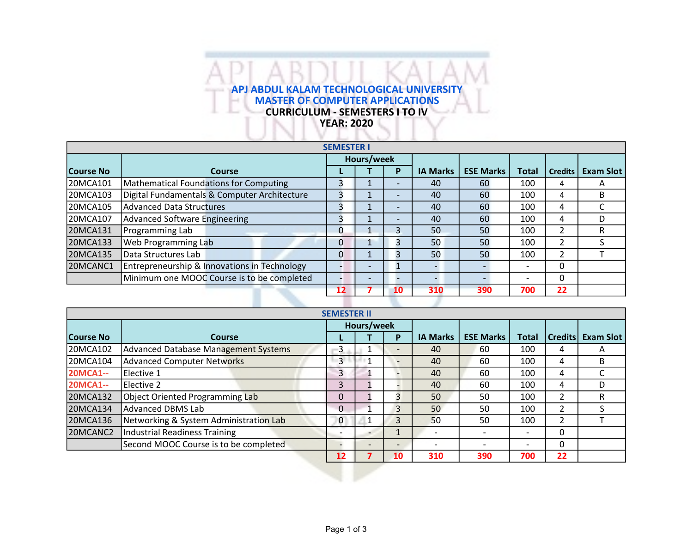## APJ ABDUL KALAM TECHNOLOGICAL UNIVERSITY MASTER OF COMPUTER APPLICATIONS н CURRICULUM - SEMESTERS I TO IV YEAR: 2020

ш

|                  |                                              | <b>SEMESTER I</b> |                          |                          |                 |                  |                          |                |                  |
|------------------|----------------------------------------------|-------------------|--------------------------|--------------------------|-----------------|------------------|--------------------------|----------------|------------------|
|                  |                                              | Hours/week        |                          |                          |                 |                  |                          |                |                  |
| <b>Course No</b> | Course                                       |                   |                          | P                        | <b>IA Marks</b> | <b>ESE Marks</b> | Total                    | <b>Credits</b> | <b>Exam Slot</b> |
| 20MCA101         | Mathematical Foundations for Computing       |                   |                          | $\overline{\phantom{0}}$ | 40              | 60               | 100                      | 4              | Α                |
| 20MCA103         | Digital Fundamentals & Computer Architecture |                   |                          | $\overline{\phantom{0}}$ | 40              | 60               | 100                      | 4              | B                |
| 20MCA105         | Advanced Data Structures                     | 3                 |                          |                          | 40              | 60               | 100                      | 4              |                  |
| 20MCA107         | Advanced Software Engineering                | З                 |                          |                          | 40              | 60               | 100                      | 4              | D                |
| 20MCA131         | Programming Lab                              | $\Omega$          |                          | 3                        | 50              | 50               | 100                      | 2              | R                |
| 20MCA133         | <b>Web Programming Lab</b>                   | 0                 |                          | 3                        | 50              | 50               | 100                      | 2              |                  |
| 20MCA135         | Data Structures Lab                          | 0                 |                          | 3                        | 50              | 50               | 100                      | 2              |                  |
| 20MCANC1         | Entrepreneurship & Innovations in Technology |                   | -                        | ш                        |                 |                  | $\overline{\phantom{0}}$ | 0              |                  |
|                  | Minimum one MOOC Course is to be completed   |                   | $\overline{\phantom{0}}$ |                          |                 |                  | $\overline{\phantom{0}}$ | 0              |                  |
|                  |                                              | 12                |                          | 10                       | 310             | 390              | 700                      | 22             |                  |

|                  |                                             | <b>SEMESTER II</b> |            |                          |                          |                 |                  |                          |                |                  |
|------------------|---------------------------------------------|--------------------|------------|--------------------------|--------------------------|-----------------|------------------|--------------------------|----------------|------------------|
|                  |                                             |                    | Hours/week |                          |                          |                 |                  |                          |                |                  |
| <b>Course No</b> | Course                                      |                    |            |                          | P                        | <b>IA Marks</b> | <b>ESE Marks</b> | <b>Total</b>             | <b>Credits</b> | <b>Exam Slot</b> |
| 20MCA102         | <b>Advanced Database Management Systems</b> | 3                  |            | <b>I</b>                 | $\qquad \qquad$          | 40              | 60               | 100                      | 4              | A                |
| 20MCA104         | Advanced Computer Networks                  | $\overline{3}$     |            |                          | $\overline{\phantom{0}}$ | 40              | 60               | 100                      | 4              | B                |
| <b>20MCA1--</b>  | Elective 1                                  | 3                  |            |                          |                          | 40              | 60               | 100                      | 4              |                  |
| <b>20MCA1--</b>  | Elective 2                                  | 3                  |            |                          |                          | 40              | 60               | 100                      | 4              | D                |
| 20MCA132         | Object Oriented Programming Lab             | $\Omega$           |            |                          | $\overline{3}$           | 50              | 50               | 100                      | 2              | R                |
| 20MCA134         | Advanced DBMS Lab                           | $\Omega$           |            |                          | 3                        | 50              | 50               | 100                      | 2              |                  |
| 20MCA136         | Networking & System Administration Lab      | 0                  |            | 1                        | 3                        | 50              | 50               | 100                      | 2              |                  |
| 20MCANC2         | <b>Industrial Readiness Training</b>        |                    |            |                          |                          |                 |                  | $\overline{\phantom{0}}$ | 0              |                  |
|                  | Second MOOC Course is to be completed       |                    |            | $\overline{\phantom{0}}$ | $\overline{\phantom{0}}$ |                 |                  | $\overline{\phantom{0}}$ | 0              |                  |
|                  |                                             | 12                 |            |                          | 10                       | 310             | 390              | 700                      | 22             |                  |

У.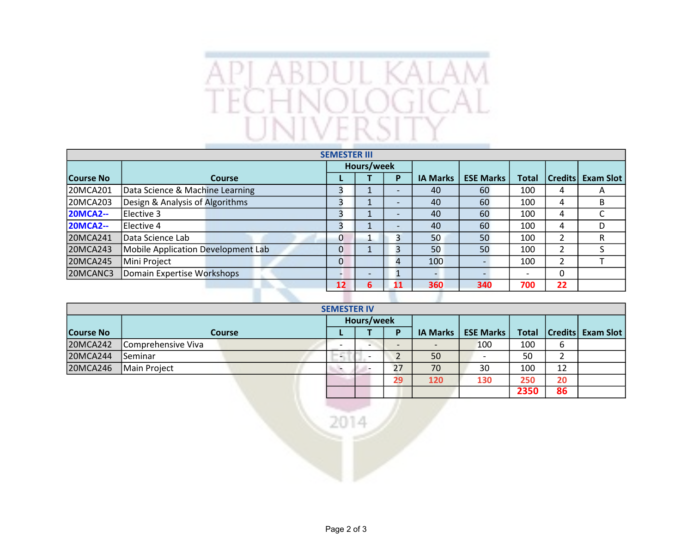

|                 |                                    | <b>SEMESTER III</b> |                 |                          |                 |                  |                          |                |                  |
|-----------------|------------------------------------|---------------------|-----------------|--------------------------|-----------------|------------------|--------------------------|----------------|------------------|
|                 |                                    |                     | Hours/week      |                          |                 |                  |                          |                |                  |
| Course No       | <b>Course</b>                      |                     |                 | P                        | <b>IA Marks</b> | <b>ESE Marks</b> | <b>Total</b>             | <b>Credits</b> | <b>Exam Slot</b> |
| 20MCA201        | Data Science & Machine Learning    |                     |                 | $\overline{\phantom{a}}$ | 40              | 60               | 100                      | 4              | A                |
| 20MCA203        | Design & Analysis of Algorithms    | 3                   |                 | $\overline{\phantom{0}}$ | 40              | 60               | 100                      | 4              | B                |
| <b>20MCA2--</b> | Elective 3                         |                     |                 | $\overline{\phantom{a}}$ | 40              | 60               | 100                      | 4              | C                |
| <b>20MCA2--</b> | Elective 4                         | 3                   |                 | $\overline{\phantom{a}}$ | 40              | 60               | 100                      | 4              | D                |
| 20MCA241        | Data Science Lab                   | $\mathbf{0}$        |                 | 3                        | 50              | 50               | 100                      | $\overline{2}$ | R                |
| 20MCA243        | Mobile Application Development Lab | $\mathbf 0$         |                 | 3                        | 50              | 50               | 100                      | 2              | S                |
| 20MCA245        | Mini Project                       | $\Omega$            |                 | 4                        | 100             |                  | 100                      | $\overline{2}$ |                  |
| 20MCANC3        | Domain Expertise Workshops         |                     | $\qquad \qquad$ | ш.                       |                 |                  | $\overline{\phantom{0}}$ | 0              |                  |
|                 |                                    | $12 \overline{ }$   | 6               | 11                       | 360             | 340              | 700                      | 22             |                  |
|                 |                                    |                     |                 |                          |                 |                  |                          |                |                  |

|                  |                    | <b>SEMESTER IV</b> |                          |                          |                 |                  |              |        |                          |
|------------------|--------------------|--------------------|--------------------------|--------------------------|-----------------|------------------|--------------|--------|--------------------------|
|                  |                    | Hours/week         |                          |                          |                 |                  |              |        |                          |
| <b>Course No</b> | Course             |                    |                          | D                        | <b>IA Marks</b> | <b>ESE Marks</b> | <b>Total</b> |        | <b>Credits Exam Slot</b> |
| 20MCA242         | Comprehensive Viva |                    | -                        | $\overline{\phantom{0}}$ |                 | 100              | 100          | 6      |                          |
| 20MCA244         | Seminar            | HС                 |                          | ▵                        | 50              |                  | 50           | ∍<br>▵ |                          |
| 20MCA246         | Main Project       | ъ.                 | $\overline{\phantom{0}}$ | 27                       | 70              | 30               | 100          | 12     |                          |
|                  |                    |                    |                          | 29                       | 120             | 130              | 250          | 20     |                          |
|                  |                    |                    |                          |                          |                 |                  | 2350         | 86     |                          |

2014